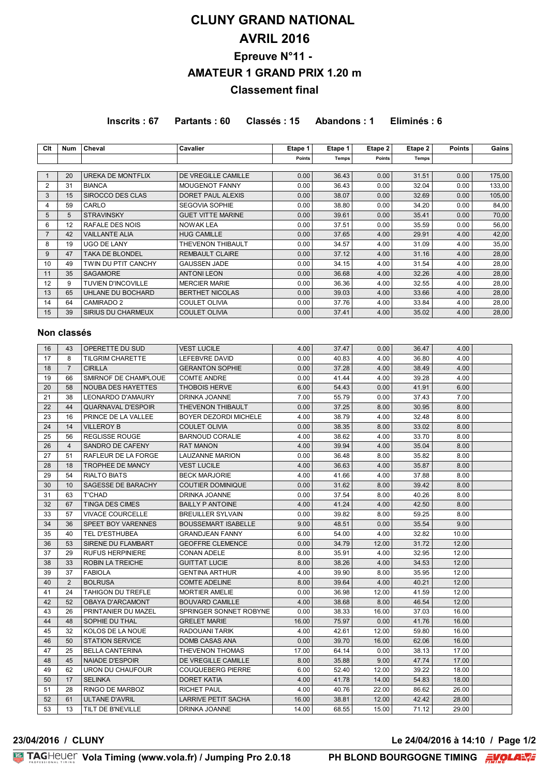# **CLUNY GRAND NATIONAL AVRIL 2016 Epreuve N°11 - AMATEUR 1 GRAND PRIX 1.20 m Classement final**

**Inscrits : 67 Partants : 60 Classés : 15 Abandons : 1 Eliminés : 6**

| Clt            | <b>Num</b>     | Cheval                    | Cavalier                   | Etape 1 | Etape 1      | Etape 2 | Etape 2      | <b>Points</b> | Gains  |
|----------------|----------------|---------------------------|----------------------------|---------|--------------|---------|--------------|---------------|--------|
|                |                |                           |                            | Points  | <b>Temps</b> | Points  | <b>Temps</b> |               |        |
|                |                |                           |                            |         |              |         |              |               |        |
| $\mathbf{1}$   | 20             | UREKA DE MONTFLIX         | DE VREGILLE CAMILLE        | 0.00    | 36.43        | 0.00    | 31.51        | 0.00          | 175,00 |
| $\overline{2}$ | 31             | <b>BIANCA</b>             | MOUGENOT FANNY             | 0.00    | 36.43        | 0.00    | 32.04        | 0.00          | 133,00 |
| 3              | 15             | SIROCCO DES CLAS          | DORET PAUL ALEXIS          | 0.00    | 38.07        | 0.00    | 32.69        | 0.00          | 105,00 |
| 4              | 59             | CARLO                     | <b>SEGOVIA SOPHIE</b>      | 0.00    | 38.80        | 0.00    | 34.20        | 0.00          | 84,00  |
| 5              | 5              | <b>STRAVINSKY</b>         | <b>GUET VITTE MARINE</b>   | 0.00    | 39.61        | 0.00    | 35.41        | 0.00          | 70,00  |
| 6              | 12             | RAFALE DES NOIS           | <b>NOWAK LEA</b>           | 0.00    | 37.51        | 0.00    | 35.59        | 0.00          | 56,00  |
| $\overline{7}$ | 42             | <b>VAILLANTE ALIA</b>     | <b>HUG CAMILLE</b>         | 0.00    | 37.65        | 4.00    | 29.91        | 4.00          | 42,00  |
| 8              | 19             | <b>UGO DE LANY</b>        | THEVENON THIBAULT          | 0.00    | 34.57        | 4.00    | 31.09        | 4.00          | 35,00  |
| 9              | 47             | <b>TAKA DE BLONDEL</b>    | <b>REMBAULT CLAIRE</b>     | 0.00    | 37.12        | 4.00    | 31.16        | 4.00          | 28,00  |
| 10             | 49             | TWIN DU PTIT CANCHY       | <b>GAUSSEN JADE</b>        | 0.00    | 34.15        | 4.00    | 31.54        | 4.00          | 28,00  |
| 11             | 35             | <b>SAGAMORE</b>           | <b>ANTONI LEON</b>         | 0.00    | 36.68        | 4.00    | 32.26        | 4.00          | 28,00  |
| 12             | 9              | TUVIEN D'INCOVILLE        | <b>MERCIER MARIE</b>       | 0.00    | 36.36        | 4.00    | 32.55        | 4.00          | 28,00  |
| 13             | 65             | UHLANE DU BOCHARD         | <b>BERTHET NICOLAS</b>     | 0.00    | 39.03        | 4.00    | 33.66        | 4.00          | 28,00  |
| 14             | 64             | CAMIRADO 2                | <b>COULET OLIVIA</b>       | 0.00    | 37.76        | 4.00    | 33.84        | 4.00          | 28,00  |
| 15             | 39             | SIRIUS DU CHARMEUX        | <b>COULET OLIVIA</b>       | 0.00    | 37.41        | 4.00    | 35.02        | 4.00          | 28,00  |
|                |                |                           |                            |         |              |         |              |               |        |
|                | Non classés    |                           |                            |         |              |         |              |               |        |
|                |                |                           |                            |         |              |         |              |               |        |
| 16             | 43             | OPERETTE DU SUD           | <b>VEST LUCILE</b>         | 4.00    | 37.47        | 0.00    | 36.47        | 4.00          |        |
| 17             | 8              | <b>TILGRIM CHARETTE</b>   | LEFEBVRE DAVID             | 0.00    | 40.83        | 4.00    | 36.80        | 4.00          |        |
| 18             | $\overline{7}$ | <b>CIRILLA</b>            | <b>GERANTON SOPHIE</b>     | 0.00    | 37.28        | 4.00    | 38.49        | 4.00          |        |
| 19             | 66             | SMIRNOF DE CHAMPLOUE      | <b>COMTE ANDRE</b>         | 0.00    | 41.44        | 4.00    | 39.28        | 4.00          |        |
| 20             | 58             | NOUBA DES HAYETTES        | <b>THOBOIS HERVE</b>       | 6.00    | 54.43        | 0.00    | 41.91        | 6.00          |        |
| 21             | 38             | LEONARDO D'AMAURY         | DRINKA JOANNE              | 7.00    | 55.79        | 0.00    | 37.43        | 7.00          |        |
| 22             | 44             | <b>QUARNAVAL D'ESPOIR</b> | THEVENON THIBAULT          | 0.00    | 37.25        | 8.00    | 30.95        | 8.00          |        |
| 23             | 16             | PRINCE DE LA VALLEE       | BOYER DEZORDI MICHELE      | 4.00    | 38.79        | 4.00    | 32.48        | 8.00          |        |
| 24             | 14             | <b>VILLEROY B</b>         | <b>COULET OLIVIA</b>       | 0.00    | 38.35        | 8.00    | 33.02        | 8.00          |        |
| 25             | 56             | <b>REGLISSE ROUGE</b>     | <b>BARNOUD CORALIE</b>     | 4.00    | 38.62        | 4.00    | 33.70        | 8.00          |        |
| 26             | $\overline{4}$ | SANDRO DE CAFENY          | <b>RAT MANON</b>           | 4.00    | 39.94        | 4.00    | 35.04        | 8.00          |        |
| 27             | 51             | RAFLEUR DE LA FORGE       | <b>LAUZANNE MARION</b>     | 0.00    | 36.48        | 8.00    | 35.82        | 8.00          |        |
| 28             | 18             | <b>TROPHEE DE MANCY</b>   | <b>VEST LUCILE</b>         | 4.00    | 36.63        | 4.00    | 35.87        | 8.00          |        |
| 29             | 54             | <b>RIALTO BIATS</b>       | <b>BECK MARJORIE</b>       | 4.00    | 41.66        | 4.00    | 37.88        | 8.00          |        |
| 30             | 10             | SAGESSE DE BARACHY        | <b>COUTIER DOMINIQUE</b>   | 0.00    | 31.62        | 8.00    | 39.42        | 8.00          |        |
| 31             | 63             | <b>T'CHAD</b>             | DRINKA JOANNE              | 0.00    | 37.54        | 8.00    | 40.26        | 8.00          |        |
| 32             | 67             | <b>TINGA DES CIMES</b>    | <b>BAILLY P ANTOINE</b>    | 4.00    | 41.24        | 4.00    | 42.50        | 8.00          |        |
| 33             | 57             | <b>VIVACE COURCELLE</b>   | <b>BREUILLER SYLVAIN</b>   | 0.00    | 39.82        | 8.00    | 59.25        | 8.00          |        |
|                |                |                           |                            |         |              |         |              |               |        |
| 34             | 36             | SPEET BOY VARENNES        | <b>BOUSSEMART ISABELLE</b> | 9.00    | 48.51        | 0.00    | 35.54        | 9.00          |        |
| 35             | 40             | TEL D'ESTHUBEA            | <b>GRANDJEAN FANNY</b>     | 6.00    | 54.00        | 4.00    | 32.82        | 10.00         |        |
| 36             | 53             | SIRENE DU FLAMBART        | <b>GEOFFRE CLEMENCE</b>    | 0.00    | 34.79        | 12.00   | 31.72        | 12.00         |        |
| 37             | 29             | <b>RUFUS HERPINIERE</b>   | CONAN ADELE                | 8.00    | 35.91        | 4.00    | 32.95        | 12.00         |        |
| 38             | 33             | ROBIN LA TREICHE          | <b>GUITTAT LUCIE</b>       | 8.00    | 38.26        | 4.00    | 34.53        | 12.00         |        |
| 39             | 37             | <b>FABIOLA</b>            | <b>GENTINA ARTHUR</b>      | 4.00    | 39.90        | 8.00    | 35.95        | 12.00         |        |
| 40             | $\overline{2}$ | <b>BOLRUSA</b>            | <b>COMTE ADELINE</b>       | 8.00    | 39.64        | 4.00    | 40.21        | 12.00         |        |
| 41             | 24             | TAHIGON DU TREFLE         | MORTIER AMELIE             | 0.00    | 36.98        | 12.00   | 41.59        | 12.00         |        |
| 42             | 52             | OBAYA D'ARCAMONT          | <b>BOUVARD CAMILLE</b>     | 4.00    | 38.68        | 8.00    | 46.54        | 12.00         |        |
| 43             | 26             | PRINTANIER DU MAZEL       | SPRINGER SONNET ROBYNE     | 0.00    | 38.33        | 16.00   | 37.03        | 16.00         |        |
| 44             | 48             | SOPHIE DU THAL            | <b>GRELET MARIE</b>        | 16.00   | 75.97        | 0.00    | 41.76        | 16.00         |        |
| 45             | 32             | KOLOS DE LA NOUE          | RADOUANI TARIK             | 4.00    | 42.61        | 12.00   | 59.80        | 16.00         |        |
| 46             | 50             | <b>STATION SERVICE</b>    | DOMB CASAS ANA             | 0.00    | 39.70        | 16.00   | 62.06        | 16.00         |        |
| 47             | 25             | <b>BELLA CANTERINA</b>    | THEVENON THOMAS            | 17.00   | 64.14        | 0.00    | 38.13        | 17.00         |        |
| 48             | 45             | <b>NAIADE D'ESPOIR</b>    | DE VREGILLE CAMILLE        | 8.00    | 35.88        | 9.00    | 47.74        | 17.00         |        |
| 49             | 62             | URON DU CHAUFOUR          | <b>COUQUEBERG PIERRE</b>   | 6.00    | 52.40        | 12.00   | 39.22        | 18.00         |        |
| 50             | 17             | <b>SELINKA</b>            | DORET KATIA                | 4.00    | 41.78        | 14.00   | 54.83        | 18.00         |        |
| 51             | 28             | RINGO DE MARBOZ           | RICHET PAUL                | 4.00    | 40.76        | 22.00   | 86.62        | 26.00         |        |
| 52             | 61             | ULTANE D'AVRIL            | LARRIVE PETIT SACHA        | 16.00   | 38.81        | 12.00   | 42.42        | 28.00         |        |
| 53             | 13             | TILT DE B'NEVILLE         | DRINKA JOANNE              | 14.00   | 68.55        | 15.00   | 71.12        | 29.00         |        |

**23/04/2016 / CLUNY Le 24/04/2016 à 14:10 / Page 1/2**